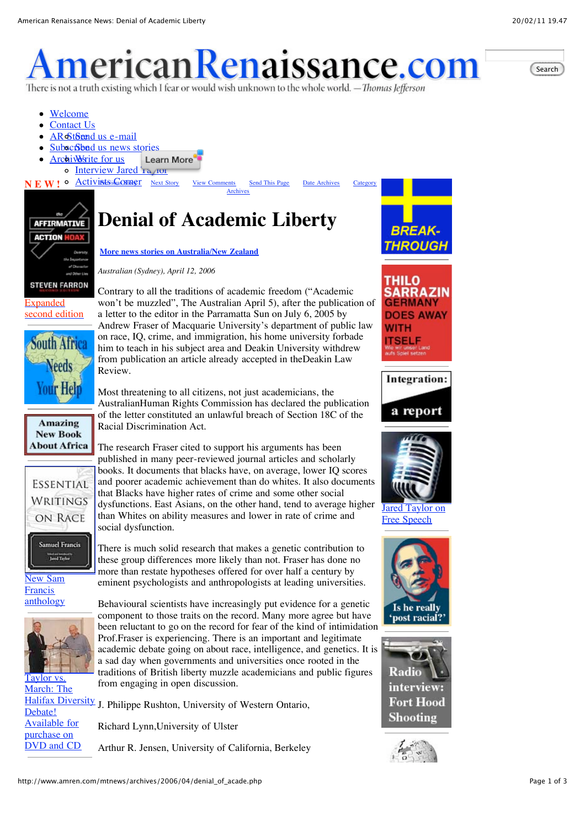# <u>ierican Renaissance.com</u> There is not a truth existing which I fear or would wish unknown to the whole world. — Thomas Jefferson

Search

- [Welcome](http://www.amren.com/siteinfo/information.html)
- [Contact Us](http://www.amren.com/forms/contactus.html)
- AR St[Send us e-mail](http://www.amren.com/forms/contactus.html)
- Subsc**Sbad** us news stories
- **[Archives](http://www.amren.com/archives.html)** for us **Learn More** o Interview Jared 'La (IOI)
- 

**NE W!**  $\circ$  **Activists in Oximet** [Next Story](http://www.amren.com/mtnews/archives/2006/04/in_mexico_nothi.php) [View Comments](http://www.amren.com/mtnews/archives/2006/04/denial_of_acade.php#comments) [S](http://www.amren.com/mtnews/archives.php)[end This Page](javascript:openTafWindow() [Date Archives](http://www.amren.com/mtnews/date.php) [Category](http://www.amren.com/mtnews/archives.php) Archives



[second edition](http://store.amren.com/cart.php?target=product&product_id=2259&category_id=95)

**South Africa** 

**keeds** 

You**r Help** 

**Amazing New Book About Africa** 

**ESSENTIAL WRITINGS** ON RACE

> Samuel Francis **Land Todor**

[New Sam](http://store.amren.com/cart.php?target=product&product_id=2094&category_id=95) Francis anthology

Taylor vs. March: The

Debate! Available for purchase on DVD and CD

## **Denial of Academic Liberty**

**[More news stories on Australia/New Zealand](http://www.amren.com/mtnews/archives/australia/)**

*Australian (Sydney), April 12, 2006*

Contrary to all the traditions of academic freedom ("Academic won't be muzzled", The Australian April 5), after the publication of a letter to the editor in the Parramatta Sun on July 6, 2005 by Andrew Fraser of Macquarie University's department of public law on race, IQ, crime, and immigration, his home university forbade him to teach in his subject area and Deakin University withdrew from publication an article already accepted in theDeakin Law Review.

Most threatening to all citizens, not just academicians, the AustralianHuman Rights Commission has declared the publication of the letter constituted an unlawful breach of Section 18C of the Racial Discrimination Act.

The research Fraser cited to support his arguments has been published in many peer-reviewed journal articles and scholarly books. It documents that blacks have, on average, lower IQ scores and poorer academic achievement than do whites. It also documents that Blacks have higher rates of crime and some other social dysfunctions. East Asians, on the other hand, tend to average higher than Whites on ability measures and lower in rate of crime and social dysfunction.

There is much solid research that makes a genetic contribution to these group differences more likely than not. Fraser has done no more than restate hypotheses offered for over half a century by eminent psychologists and anthropologists at leading universities.

Behavioural scientists have increasingly put evidence for a genetic component to those traits on the record. Many more agree but have been reluctant to go on the record for fear of the kind of intimidation Prof.Fraser is experiencing. There is an important and legitimate academic debate going on about race, intelligence, and genetics. It is a sad day when governments and universities once rooted in the traditions of British liberty muzzle academicians and public figures from engaging in open discussion.

[Halifax Diversity](http://store.amren.com/cart.php?target=product&product_id=2256&category_id=94) J. Philippe Rushton, University of Western Ontario,

Richard Lynn,University of Ulster

Arthur R. Jensen, University of California, Berkeley



**[Jared Taylor on](http://www.amren.com/interviews/2010/0308tom-roten/index.html)** Free Speech





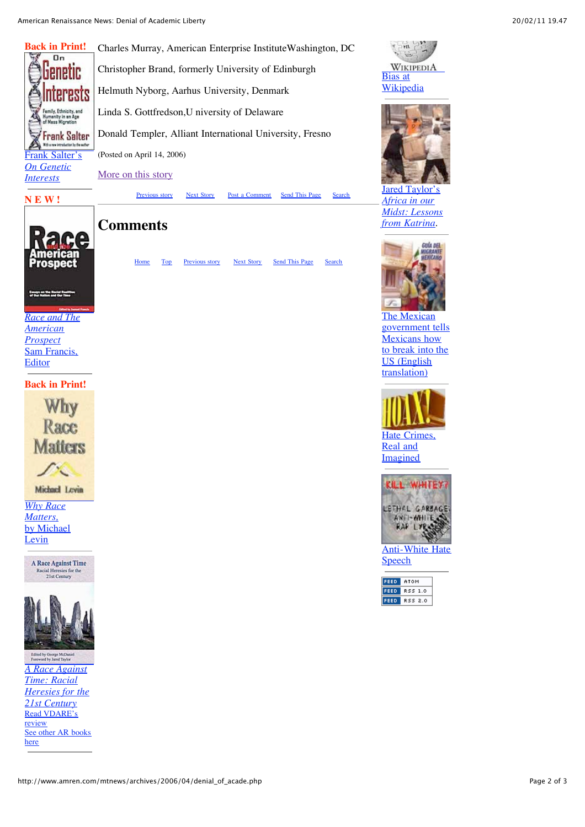

Charles Murray, American Enterprise InstituteWashington, DC Christopher Brand, formerly University of Edinburgh Helmuth Nyborg, Aarhus University, Denmark Linda S. Gottfredson,U niversity of Delaware Donald Templer, Alliant International University, Fresno (Posted on April 14, 2006)

[More on this story](http://www.amren.com/mtnews/archives/2006/03/professor_andre.php)



[Previous story](http://www.amren.com/mtnews/archives/2006/04/report_bus_driv.php) [Next Story](http://www.amren.com/mtnews/archives/2006/04/in_mexico_nothi.php) [Post a Comment](http://www.amren.com/mtnews/archives/2006/04/denial_of_acade.php#post) [Send This Page](javascript:openTafWindow() [Search](http://www.amren.com/search.html)



### **Comments**

[Home](http://www.amren.com/index.html) [Top](http://www.amren.com/mtnews/archives/2006/04/denial_of_acade.php#top) [Previous story](http://www.amren.com/mtnews/archives/2006/04/report_bus_driv.php) [Next Story](http://www.amren.com/mtnews/archives/2006/04/in_mexico_nothi.php) [Send This Page](javascript:openTafWindow() [Search](http://www.amren.com/search.html)

### *[Race and The](http://store.amren.com/cart.php?target=product&product_id=2122&category_id=95) American Prospect* Sam Francis, Editor

**Back in Print!**



Michael Levin

*Why Race Matters,* [by Michael](http://store.amren.com/cart.php?target=product&product_id=2110&category_id=95) Levin





Edited by George McDanie<br>Foreword by Jared Taylor *A Race Against Time: Racial [Heresies for the](http://store.amren.com/cart.php?target=product&product_id=2088&category_id=95) 21st Century* [Read VDARE's](http://www.vdare.com/misc/custred_racial_heresies.htm) review [See other AR books](http://store.amren.com/cart.php?target=category&category_id=95) here





Jared Taylor's *Africa in our [Midst: Lessons](http://www.amren.com/ar/2005/10/index.html) from Katrina*.



The Mexican [government tells](http://www.amren.com/features/mexguide/index.html) Mexicans how to break into the US (English translation)





**Speech**